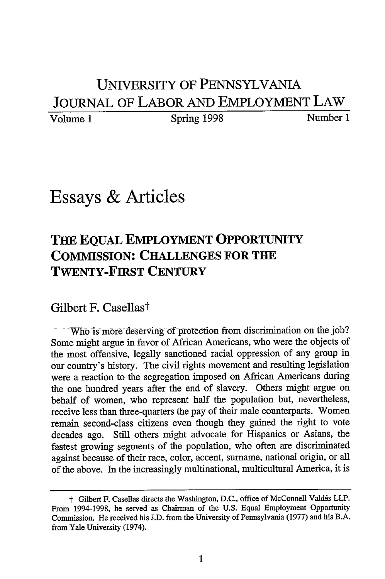## **UNiVERSITY OF PENNSYLVANIA JOURNAL OF LABOR AND EMPLOYMENT LAW**

Volume 1 Spring 1998 Number 1

## Essays **&** Articles

## **THE EQUAL EMPLOYMENT OPPORTUNITY COMMISSION: CHALLENGES FOR THE TWENTY-FIRST CENTURY**

## Gilbert F. Casellas<sup>†</sup>

Who is more deserving of protection from discrimination on **the** job? Some might argue in favor of African Americans, who were the objects of the most offensive, legally sanctioned racial oppression of any group in our country's history. The civil rights movement and resulting legislation were a reaction to the segregation imposed on African Americans during the one hundred years after the end of slavery. Others might argue on behalf of women, who represent half the population but, nevertheless, receive less than three-quarters the pay of their male counterparts. Women remain second-class citizens even though they gained the right to vote decades ago. Still others might advocate for Hispanics or Asians, the fastest growing segments of the population, who often are discriminated against because of their race, color, accent, surname, national origin, or all of the above. In the increasingly multinational, multicultural America, it is

 $\dagger$  Gilbert F. Casellas directs the Washington, D.C., office of McConnell Valdes LLP. From 1994-1998, he served as Chairman of the U.S. Equal Employment Opportunity Commission. He received his J.D. from the University of Pennsylvania (1977) and his B.A. from Yale University (1974).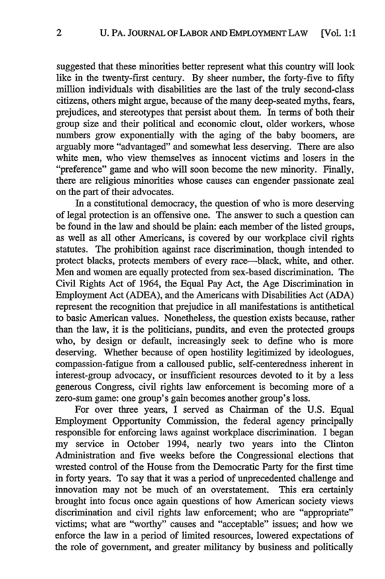suggested that these minorities better represent what this country will look like in the twenty-first century. By sheer number, the forty-five to fifty million individuals with disabilities are the last of the truly second-class citizens, others might argue, because of the many deep-seated myths, fears, prejudices, and stereotypes that persist about them. In terms of both their group size and their political and economic clout, older workers, whose numbers grow exponentially with the aging of the baby boomers, are arguably more "advantaged" and somewhat less deserving. There are also white men, who view themselves as innocent victims and losers in the "preference" game and who will soon become the new minority. Finally, there are religious minorities whose causes can engender passionate zeal on the part of their advocates.

In a constitutional democracy, the question of who is more deserving of legal protection is an offensive one. The answer to such a question can be found in the law and should be plain: each member of the listed groups, as well as all other Americans, is covered by our workplace civil rights statutes. The prohibition against race discrimination, though intended to protect blacks, protects members of every race—black, white, and other. Men and women are equally protected from sex-based discrimination. The Civil Rights Act of 1964, the Equal Pay Act, the Age Discrimination in Employment Act (ADEA), and the Americans with Disabilities Act (ADA) represent the recognition that prejudice in all manifestations is antithetical to basic American values. Nonetheless, the question exists because, rather than the law, it is the politicians, pundits, and even the protected groups who, by design or default, increasingly seek to define who is more deserving. Whether because of open hostility legitimized by ideologues, compassion-fatigue from a calloused public, self-centeredness inherent in interest-group advocacy, or insufficient resources devoted to it by a less generous Congress, civil rights law enforcement is becoming more of a zero-sum game: one group's gain becomes another group's loss.

For over three years, I served as Chairman of the U.S. Equal Employment Opportunity Commission, the federal agency principally responsible for enforcing laws against workplace discrimination. I began my service in October 1994, nearly two years into the Clinton Administration and five weeks before the Congressional elections that wrested control of the House from the Democratic Party for the first time in forty years. To say that it was a period of unprecedented challenge and innovation may not be much of an overstatement. This era certainly brought into focus once again questions of how American society views discrimination and civil rights law enforcement; who are "appropriate" victims; what are "worthy" causes and "acceptable" issues; and how we enforce the law in a period of limited resources, lowered expectations of the role of government, and greater militancy by business and politically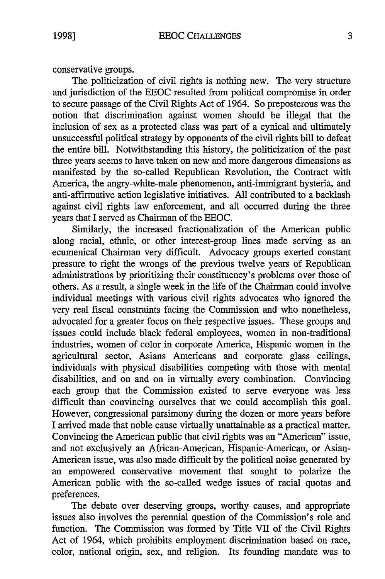conservative groups.

The politicization of civil rights is nothing new. The very structure and jurisdiction of the EEOC resulted from political compromise in order to secure passage of the Civil Rights Act of 1964. So preposterous was the notion that discrimination against women should be illegal that the inclusion of sex as a protected class was part of a cynical and ultimately unsuccessful political strategy by opponents of the civil rights bill to defeat the entire bill. Notwithstanding this history, the politicization of the past three years seems to have taken on new and more dangerous dimensions as manifested by the so-called Republican Revolution, the Contract with America, the angry-white-male phenomenon, anti-immigrant hysteria, and anti-affirmative action legislative initiatives. All contributed to a backlash against civil rights law enforcement, and all occurred during the three years that I served as Chairman of the EEOC.

Similarly, the increased fractionalization of the American public along racial, ethnic, or other interest-group lines made serving as an ecumenical Chairman very difficult. Advocacy groups exerted constant pressure to right the wrongs of the previous twelve years of Republican administrations by prioritizing their constituency's problems over those of others. As a result, a single week in the life of the Chairman could involve individual meetings with various civil rights advocates who ignored the very real fiscal constraints facing the Commission and who nonetheless, advocated for a greater focus on their respective issues. These groups and issues could include black federal employees, women in non-traditional industries, women of color in corporate America, Hispanic women in the agricultural sector, Asians Americans and corporate glass ceilings, individuals with physical disabilities competing with those with mental disabilities, and on and on in virtually every combination. Convincing each group that the Commission existed to serve everyone was less difficult than convincing ourselves that we could accomplish this goal. However, congressional parsimony during the dozen or more years before I arrived made that noble cause virtually unattainable as a practical matter. Convincing the American public that civil rights was an "American" issue, and not exclusively an African-American, Hispanic-American, or Asian-American issue, was also made difficult by the political noise generated by an empowered conservative movement that sought to polarize the American public with the so-called wedge issues of racial quotas and preferences.

The debate over deserving groups, worthy causes, and appropriate issues also involves the perennial question of the Commission's role and function. The Commission was formed by Title VII of the Civil Rights Act of 1964, which prohibits employment discrimination based on race, color, national origin, sex, and religion. Its founding mandate was to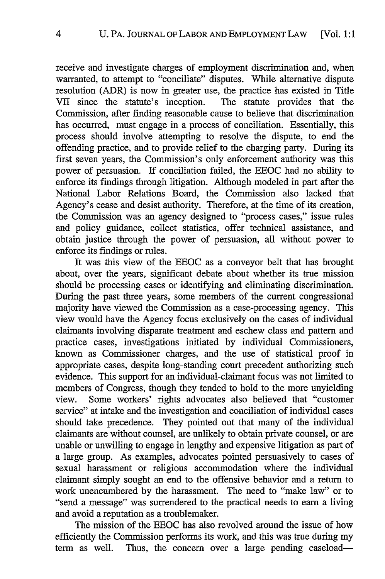receive and investigate charges of employment discrimination and, when warranted, to attempt to "conciliate" disputes. While alternative dispute resolution (ADR) is now in greater use, the practice has existed in Title VII since the statute's inception. The statute provides that the Commission, after finding reasonable cause to believe that discrimination has occurred, must engage in a process of conciliation. Essentially, this process should involve attempting to resolve the dispute, to end the offending practice, and to provide relief to the charging party. During its first seven years, the Commission's only enforcement authority was this power of persuasion. If conciliation failed, the EEOC had no ability to enforce its findings through litigation. Although modeled in part after the National Labor Relations Board, the Commission also lacked that Agency's cease and desist authority. Therefore, at the time of its creation, the Commission was an agency designed to "process cases," issue rules and policy guidance, collect statistics, offer technical assistance, and obtain justice through the power of persuasion, all without power to enforce its findings or rules.

It was this view of the EEOC as a conveyor belt that has brought about, over the years, significant debate about whether its true mission should be processing cases or identifying and eliminating discrimination. During the past three years, some members of the current congressional majority have viewed the Commission as a case-processing agency. This view would have the Agency focus exclusively on the cases of individual claimants involving disparate treatment and eschew class and pattern and practice cases, investigations initiated by individual Commissioners, known as Commissioner charges, and the use of statistical proof in appropriate cases, despite long-standing court precedent authorizing such evidence. This support for an individual-claimant focus was not limited to members of Congress, though they tended to hold to the more unyielding view. Some workers' rights advocates also believed that "customer service" at intake and the investigation and conciliation of individual cases should take precedence. They pointed out that many of the individual claimants are without counsel, are unlikely to obtain private counsel, or are unable or unwilling to engage in lengthy and expensive litigation as part of a large group. As examples, advocates pointed persuasively to cases of sexual harassment or religious accommodation where the individual claimant simply sought an end to the offensive behavior and a return to work unencumbered by the harassment. The need to "make law" or to "send a message" was surrendered to the practical needs to earn a living and avoid a reputation as a troublemaker.

The mission of the EEOC has also revolved around the issue of how efficiently the Commission performs its work, and this was true during my term as well. Thus, the concern over a large pending caseload-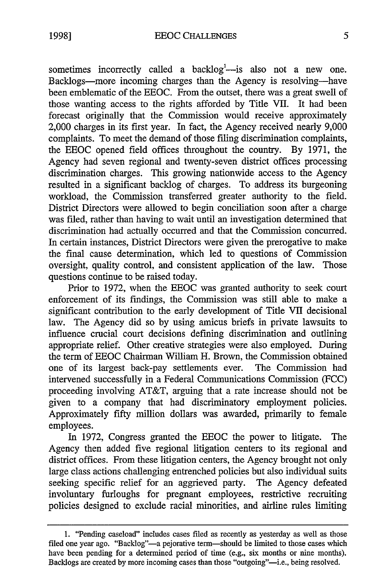sometimes incorrectly called a backlog<sup>1</sup>-is also not a new one. Backlogs-more incoming charges than the Agency is resolving-have been emblematic of the EEOC. From the outset, there was a great swell of those wanting access to the rights afforded by Title VII. It had been forecast originally that the Commission would receive approximately 2,000 charges in its first year. In fact, the Agency received nearly 9,000 complaints. To meet the demand of those filing discrimination complaints, the EEOC opened field offices throughout the country. By 1971, the Agency had seven regional and twenty-seven district offices processing discrimination charges. This growing nationwide access to the Agency resulted in a significant backlog of charges. To address its burgeoning workload, the Commission transferred greater authority to the field. District Directors were allowed to begin conciliation soon after a charge was filed, rather than having to wait until an investigation determined that discrimination had actually occurred and that the Commission concurred. In certain instances, District Directors were given the prerogative to make the final cause determination, which led to questions of Commission oversight, quality control, and consistent application of the law. Those questions continue to be raised today.

Prior to 1972, when the EEOC was granted authority to seek court enforcement of its findings, the Commission was still able to make a significant contribution to the early development of Title VII decisional law. The Agency did so by using amicus briefs in private lawsuits to influence crucial court decisions defining discrimination and outlining appropriate relief. Other creative strategies were also employed. During the term of EEOC Chairman William H. Brown, the Commission obtained one of its largest back-pay settlements ever. The Commission had intervened successfully in a Federal Communications Commission (FCC) proceeding involving AT&T, arguing that a rate increase should not be given to a company that had discriminatory employment policies. Approximately fifty million dollars was awarded, primarily to female employees.

In 1972, Congress granted the EEOC the power to litigate. The Agency then added five regional litigation centers to its regional and district offices. From these litigation centers, the Agency brought not only large class actions challenging entrenched policies but also individual suits seeking specific relief for an aggrieved party. The Agency defeated involuntary furloughs for pregnant employees, restrictive recruiting policies designed to exclude racial minorities, and airline rules limiting

<sup>1. &</sup>quot;Pending caseload" includes cases filed as recently as yesterday as well as those filed one year ago. "Backlog"--a pejorative term--should be limited to those cases which have been pending for a determined period of time (e.g., six months or nine months). Backlogs are created by more incoming cases than those "outgoing"--i.e., being resolved.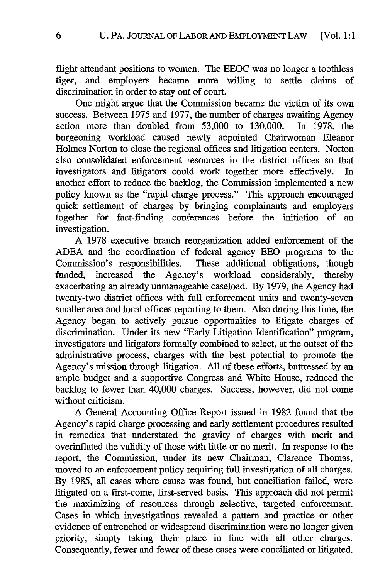flight attendant positions to women. The EEOC was no longer a toothless tiger, and employers became more willing to settle claims of discrimination in order to stay out of court.

One might argue that the Commission became the victim of its own success. Between 1975 and 1977, the number of charges awaiting Agency action more than doubled from 53,000 to 130,000. In 1978, the burgeoning workload caused newly appointed Chairwoman Eleanor Holmes Norton to close the regional offices and litigation centers. Norton also consolidated enforcement resources in the district offices so that investigators and litigators could work together more effectively. In another effort to reduce the backlog, the Commission implemented a new policy known as the "rapid charge process." This approach encouraged quick settlement of charges by bringing complainants and employers together for fact-finding conferences before the initiation of an investigation.

A 1978 executive branch reorganization added enforcement of the ADEA and the coordination of federal agency EEO programs to the Commission's responsibilities. These additional obligations, though funded, increased the Agency's workload considerably, thereby exacerbating an already unmanageable caseload. By 1979, the Agency had twenty-two district offices with full enforcement units and twenty-seven smaller area and local offices reporting to them. Also during this time, the Agency began to actively pursue opportunities to litigate charges of discrimination. Under its new "Early Litigation Identification" program, investigators and litigators formally combined to select, at the outset of the administrative process, charges with the best potential to promote the Agency's mission through litigation. All of these efforts, buttressed by an ample budget and a supportive Congress and White House, reduced the backlog to fewer than 40,000 charges. Success, however, did not come without criticism.

A General Accounting Office Report issued in 1982 found that the Agency's rapid charge processing and early settlement procedures resulted in remedies that understated the gravity of charges with merit and overinflated the validity of those with little or no merit. In response to the report, the Commission, under its new Chairman, Clarence Thomas, moved to an enforcement policy requiring full investigation of all charges. By 1985, all cases where cause was found, but conciliation failed, were litigated on a first-come, first-served basis. This approach did not permit the maximizing of resources through selective, targeted enforcement. Cases in which investigations revealed a pattern and practice or other evidence of entrenched or widespread discrimination were no longer given priority, simply taking their place in line with all other charges. Consequently, fewer and fewer of these cases were conciliated or litigated.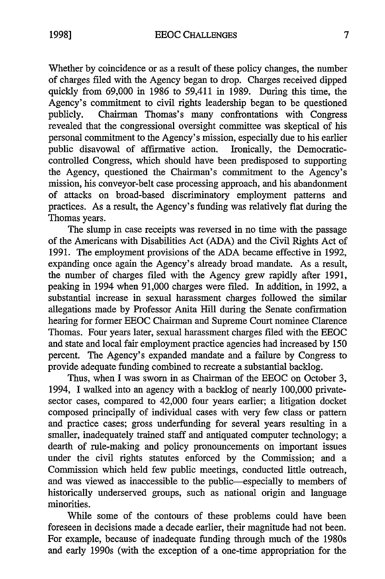Whether by coincidence or as a result of these policy changes, the number of charges filed with the Agency began to drop. Charges received dipped quickly from 69,000 in 1986 to 59,411 in 1989. During this time, the Agency's commitment to civil rights leadership began to be questioned publicly. Chairman Thomas's many confrontations with Congress revealed that the congressional oversight committee was skeptical of his personal commitment to the Agency's mission, especially due to his earlier public disavowal of affirmative action. Ironically, the Democraticcontrolled Congress, which should have been predisposed to supporting the Agency, questioned the Chairman's commitment to the Agency's mission, his conveyor-belt case processing approach, and his abandonment of attacks on broad-based discriminatory employment patterns and practices. As a result, the Agency's funding was relatively flat during the Thomas years.

The slump in case receipts was reversed in no time with the passage of the Americans with Disabilities Act (ADA) and the Civil Rights Act of 1991. The employment provisions of the ADA became effective in 1992, expanding once again the Agency's already broad mandate. As a result, the number of charges filed with the Agency grew rapidly after 1991, peaking in 1994 when 91,000 charges were filed. In addition, in 1992, a substantial increase in sexual harassment charges followed the similar allegations made by Professor Anita Hill during the Senate confirmation hearing for former EEOC Chairman and Supreme Court nominee Clarence Thomas. Four years later, sexual harassment charges filed with the EEOC and state and local fair employment practice agencies had increased by 150 percent. The Agency's expanded mandate and a failure by Congress to provide adequate funding combined to recreate a substantial backlog.

Thus, when I was sworn in as Chairman of the EEOC on October 3, 1994, I walked into an agency with a backlog of nearly 100,000 privatesector cases, compared to 42,000 four years earlier; a litigation docket composed principally of individual cases with very few class or pattern and practice cases; gross underfunding for several years resulting in a smaller, inadequately trained staff and antiquated computer technology; a dearth of rule-making and policy pronouncements on important issues under the civil rights statutes enforced by the Commission; and a Commission which held few public meetings, conducted little outreach, and was viewed as inaccessible to the public-especially to members of historically underserved groups, such as national origin and language minorities.

While some of the contours of these problems could have been foreseen in decisions made a decade earlier, their magnitude had not been. For example, because of inadequate funding through much of the 1980s and early 1990s (with the exception of a one-time appropriation for the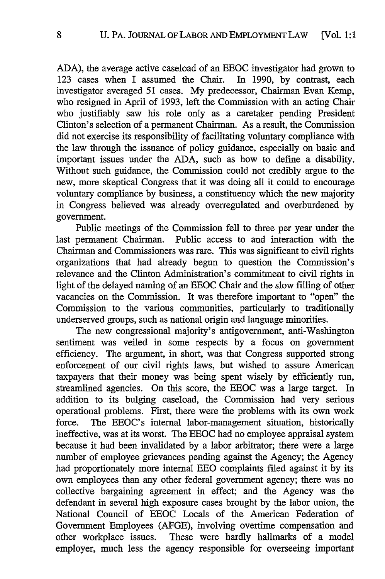ADA), the average active caseload of an EEOC investigator had grown to 123 cases when I assumed the Chair. In 1990, by contrast, each investigator averaged 51 cases. My predecessor, Chairman Evan Kemp, who resigned in April of 1993, left the Commission with an acting Chair who justifiably saw his role only as a caretaker pending President Clinton's selection of a permanent Chairman. As a result, the Commission did not exercise its responsibility of facilitating voluntary compliance with the law through the issuance of policy guidance, especially on basic and important issues under the ADA, such as how to define a disability. Without such guidance, the Commission could not credibly argue to the new, more skeptical Congress that it was doing all it could to encourage voluntary compliance by business, a constituency which the new majority in Congress believed was already overregulated and overburdened by government.

Public meetings of the Commission fell to three per year under the last permanent Chairman. Public access to and interaction with the Chairman and Commissioners was rare. This was significant to civil rights organizations that had already begun to question the Commission's relevance and the Clinton Administration's commitment to civil rights in light of the delayed naming of an EEOC Chair and the slow filling of other vacancies on the Commission. It was therefore important to "open" the Commission to the various communities, particularly to traditionally underserved groups, such as national origin and language minorities.

The new congressional majority's antigoverment, anti-Washington sentiment was veiled in some respects by a focus on government efficiency. The argument, in short, was that Congress supported strong enforcement of our civil rights laws, but wished to assure American taxpayers that their money was being spent wisely by efficiently run, streamlined agencies. On this score, the EEOC was a large target. In addition to its bulging caseload, the Commission had very serious operational problems. First, there were the problems with its own work force. The EEOC's internal labor-management situation, historically ineffective, was at its worst. The EEOC had no employee appraisal system because it had been invalidated by a labor arbitrator; there were a large number of employee grievances pending against the Agency; the Agency had proportionately more internal EEO complaints filed against it by its own employees than any other federal government agency; there was no collective bargaining agreement in effect; and the Agency was the defendant in several high exposure cases brought by the labor union, the National Council of EEOC Locals of the American Federation of Government Employees (AFGE), involving overtime compensation and other workplace issues. These were hardly hallmarks of a model employer, much less the agency responsible for overseeing important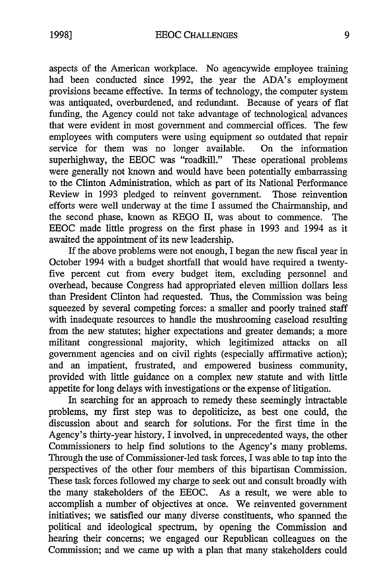aspects of the American workplace. No agencywide employee training had been conducted since 1992, the year the ADA's employment provisions became effective. In terms of technology, the computer system was antiquated, overburdened, and redundant. Because of years of flat funding, the Agency could not take advantage of technological advances that were evident in most government and commercial offices. The few employees with computers were using equipment so outdated that repair service for them was no longer available. On the information superhighway, the EEOC was "roadkill." These operational problems were generally not known and would have been potentially embarrassing to the Clinton Administration, which as part of its National Performance Review in 1993 pledged to reinvent government. Those reinvention efforts were well underway at the time  $\overline{I}$  assumed the Chairmanship, and the second phase, known as REGO II, was about to commence. The EEOC made little progress on the first phase in 1993 and 1994 as it awaited the appointment of its new leadership.

If the above problems were not enough, I began the new fiscal year in October 1994 with a budget shortfall that would have required a twentyfive percent cut from every budget item, excluding personnel and overhead, because Congress had appropriated eleven million dollars less than President Clinton had requested. Thus, the Commission was being squeezed by several competing forces: a smaller and poorly trained staff with inadequate resources to handle the mushrooming caseload resulting from the new statutes; higher expectations and greater demands; a more militant congressional majority, which legitimized attacks on all government agencies and on civil rights (especially affirmative action); and an impatient, frustrated, and empowered business community, provided with little guidance on a complex new statute and with little appetite for long delays with investigations or the expense of litigation.

In searching for an approach to remedy these seemingly intractable problems, my first step was to depoliticize, as best one could, the discussion about and search for solutions. For the first time in the Agency's thirty-year history, I involved, in unprecedented ways, the other Commissioners to help find solutions to the Agency's many problems. Through the use of Commissioner-led task forces, I was able to tap into the perspectives of the other four members of this bipartisan Commission. These task forces followed my charge to seek out and consult broadly with the many stakeholders of the EEOC. As a result, we were able to accomplish a number of objectives at once. We reinvented government initiatives; we satisfied our many diverse constituents, who spanned the political and ideological spectrum, by opening the Commission and hearing their concerns; we engaged our Republican colleagues on the Commission; and we came up with a plan that many stakeholders could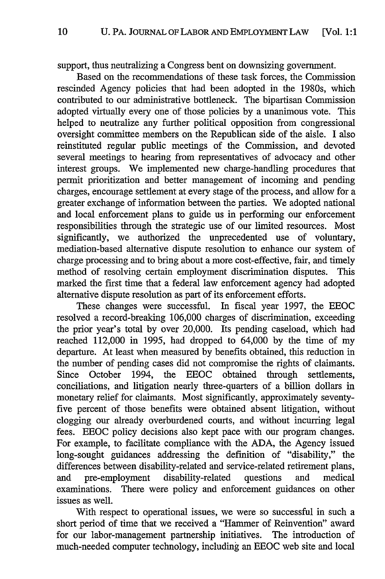support, thus neutralizing a Congress bent on downsizing government.

Based on the recommendations of these task forces, the Commission rescinded Agency policies that had been adopted in the 1980s, which contributed to our administrative bottleneck. The bipartisan Commission adopted virtually every one of those policies **by** a unanimous vote. This helped to neutralize any further political opposition from congressional oversight committee members on the Republican side of the aisle. I also reinstituted regular public meetings of the Commission, and devoted several meetings to hearing from representatives of advocacy and other interest groups. We implemented new charge-handling procedures that permit prioritization and better management of incoming and pending charges, encourage settlement at every stage of the process, and allow for a greater exchange of information between the parties. We adopted national and local enforcement plans to guide us in performing our enforcement responsibilities through the strategic use of our limited resources. Most significantly, we authorized the unprecedented use of voluntary, mediation-based alternative dispute resolution to enhance our system of charge processing and to bring about a more cost-effective, fair, and timely method of resolving certain employment discrimination disputes. This marked the first time that a federal law enforcement agency had adopted alternative dispute resolution as part of its enforcement efforts.

These changes were successful. In fiscal year 1997, the EEOC resolved a record-breaking 106,000 charges of discrimination, exceeding the prior year's total **by** over 20,000. Its pending caseload, which had reached 112,000 in 1995, had dropped to 64,000 **by** the time of my departure. At least when measured **by** benefits obtained, this reduction in the number of pending cases did not compromise the rights of claimants. Since October 1994, the EEOC obtained through settlements, conciliations, and litigation nearly three-quarters of a billion dollars in monetary relief for claimants. Most significantly, approximately seventyfive percent of those benefits were obtained absent litigation, without clogging our already overburdened courts, and without incurring legal fees. EEOC policy decisions also kept pace with our program changes. For example, to facilitate compliance with the ADA, the Agency issued long-sought guidances addressing the definition of "disability," the differences between disability-related and service-related retirement plans, and pre-employment disability-related questions and medical examinations. There were policy and enforcement guidances on other issues as well.

With respect to operational issues, we were so successful in such a short period of time that we received a "Hammer of Reinvention" award for our labor-management partnership initiatives. The introduction of much-needed computer technology, including an EEOC web site and local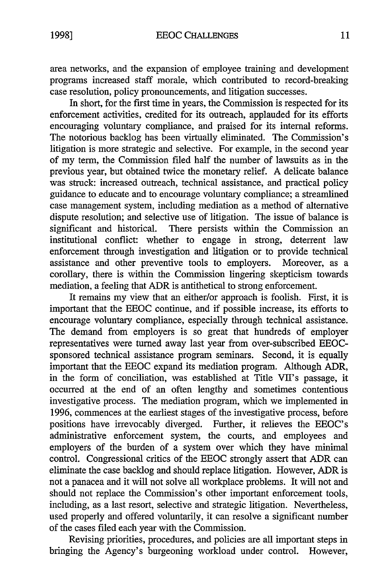area networks, and the expansion of employee training and development programs increased staff morale, which contributed to record-breaking case resolution, policy pronouncements, and litigation successes.

In short, for the first time in years, the Commission is respected for its enforcement activities, credited for its outreach, applauded for its efforts encouraging voluntary compliance, and praised for its internal reforms. The notorious backlog has been virtually eliminated. The Commission's litigation is more strategic and selective. For example, in the second year of my term, the Commission filed half the number of lawsuits as in the previous year, but obtained twice the monetary relief. A delicate balance was struck: increased outreach, technical assistance, and practical policy guidance to educate and to encourage voluntary compliance; a streamlined case management system, including mediation as a method of alternative dispute resolution; and selective use of litigation. The issue of balance is significant and historical. There persists within the Commission an institutional conflict: whether to engage in strong, deterrent law enforcement through investigation and litigation or to provide technical assistance and other preventive tools to employers. Moreover, as a corollary, there is within the Commission lingering skepticism towards mediation, a feeling that ADR is antithetical to strong enforcement.

It remains my view that an either/or approach is foolish. First, it is important that the EEOC continue, and if possible increase, its efforts to encourage voluntary compliance, especially through technical assistance. The demand from employers is so great that hundreds of employer representatives were turned away last year from over-subscribed EEOCsponsored technical assistance program seminars. Second, it is equally important that the EEOC expand its mediation program. Although ADR, in the form of conciliation, was established at Title VII's passage, it occurred at the end of an often lengthy and sometimes contentious investigative process. The mediation program, which we implemented in 1996, commences at the earliest stages of the investigative process, before positions have irrevocably diverged. Further, it relieves the EEOC's administrative enforcement system, the courts, and employees and employers of the burden of a system over which they have minimal control. Congressional critics of the EEOC strongly assert that ADR can eliminate the case backlog and should replace litigation. However, ADR is not a panacea and it will not solve all workplace problems. It will not and should not replace the Commission's other important enforcement tools, including, as a last resort, selective and strategic litigation. Nevertheless, used properly and offered voluntarily, it can resolve a significant number of the cases filed each year with the Commission.

Revising priorities, procedures, and policies are all important steps in bringing the Agency's burgeoning workload under control. However,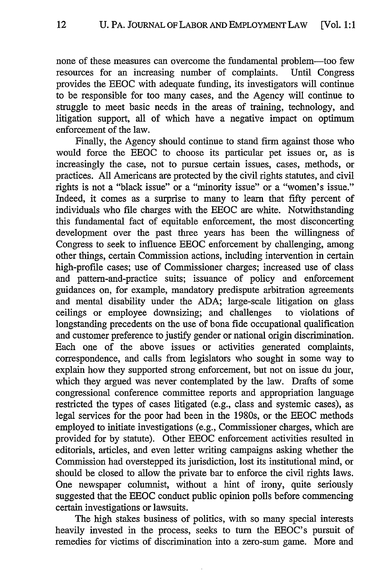none of these measures can overcome the fundamental problem-too few resources for an increasing number of complaints. Until Congress provides the EEOC with adequate funding, its investigators will continue to be responsible for too many cases, and the Agency will continue to struggle to meet basic needs in the areas of training, technology, and litigation support, all of which have a negative impact on optimum enforcement of the law.

Finally, the Agency should continue to stand firm against those who would force the EEOC to choose its particular pet issues or, as is increasingly the case, not to pursue certain issues, cases, methods, or practices. All Americans are protected by the civil rights statutes, and civil rights is not a "black issue" or a "minority issue" or a "women's issue." Indeed, it comes as a surprise to many to learn that fifty percent of individuals who file charges with the EEOC are white. Notwithstanding this fundamental fact of equitable enforcement, the most disconcerting development over the past three years has been the willingness of Congress to seek to influence EEOC enforcement by challenging, among other things, certain Commission actions, including intervention in certain high-profile cases; use of Commissioner charges; increased use of class and pattern-and-practice suits; issuance of policy and enforcement guidances on, for example, mandatory predispute arbitration agreements and mental disability under the ADA; large-scale litigation on glass ceilings or employee downsizing; and challenges to violations of longstanding precedents on the use of bona fide occupational qualification and customer preference to justify gender or national origin discrimination. Each one of the above issues or activities generated complaints, correspondence, and calls from legislators who sought in some way to explain how they supported strong enforcement, but not on issue du jour, which they argued was never contemplated by the law. Drafts of some congressional conference committee reports and appropriation language restricted the types of cases litigated (e.g., class and systemic cases), as legal services for the poor had been in the 1980s, or the EEOC methods employed to initiate investigations (e.g., Commissioner charges, which are provided for by statute). Other EEOC enforcement activities resulted in editorials, articles, and even letter writing campaigns asking whether the Commission had overstepped its jurisdiction, lost its institutional mind, or should be closed to allow the private bar to enforce the civil rights laws. One newspaper columnist, without a hint of irony, quite seriously suggested that the EEOC conduct public opinion polls before commencing certain investigations or lawsuits.

The high stakes business of politics, with so many special interests heavily invested in the process, seeks to turn the EEOC's pursuit of remedies for victims of discrimination into a zero-sum game. More and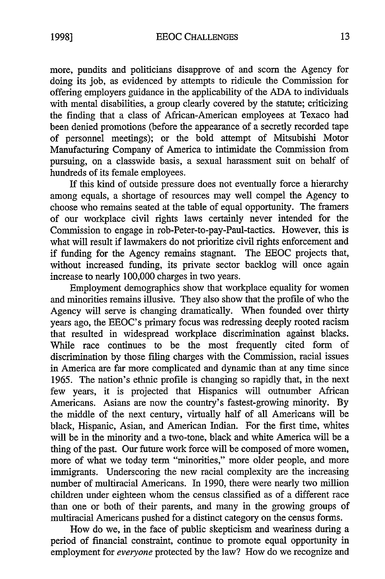more, pundits and politicians disapprove of and scorn the Agency for doing its job, as evidenced by attempts to ridicule the Commission for offering employers guidance in the applicability of the ADA to individuals with mental disabilities, a group clearly covered by the statute; criticizing the finding that a class of African-American employees at Texaco had been denied promotions (before the appearance of a secretly recorded tape of personnel meetings); or the bold attempt of Mitsubishi Motor Manufacturing Company of America to intimidate the Commission from pursuing, on a classwide basis, a sexual harassment suit on behalf of hundreds of its female employees.

If this kind of outside pressure does not eventually force a hierarchy among equals, a shortage of resources may well compel the Agency to choose who remains seated at the table of equal opportunity. The framers of our workplace civil rights laws certainly never intended for the Commission to engage in rob-Peter-to-pay-Paul-tactics. However, this is what will result if lawmakers do not prioritize civil rights enforcement and if funding for the Agency remains stagnant. The EEOC projects that, without increased funding, its private sector backlog will once again increase to nearly 100,000 charges in two years.

Employment demographics show that workplace equality for women and minorities remains illusive. They also show that the profile of who the Agency will serve is changing dramatically. When founded over thirty years ago, the EEOC's primary focus was redressing deeply rooted racism that resulted in widespread workplace discrimination against blacks. While race continues to be the most frequently cited form of discrimination by those filing charges with the Commission, racial issues in America are far more complicated and dynamic than at any time since 1965. The nation's ethnic profile is changing so rapidly that, in the next few years, it is projected that Hispanics will outnumber African Americans. Asians are now the country's fastest-growing minority. By the middle of the next century, virtually half of all Americans will be black, Hispanic, Asian, and American Indian. For the first time, whites will be in the minority and a two-tone, black and white America will be a thing of the past. Our future work force will be composed of more women, more of what we today term "minorities," more older people, and more immigrants. Underscoring the new racial complexity are the increasing number of multiracial Americans. In 1990, there were nearly two million children under eighteen whom the census classified as of a different race than one or both of their parents, and many in the growing groups of multiracial Americans pushed for a distinct category on the census forms.

How do we, in the face of public skepticism and weariness during a period of financial constraint, continue to promote equal opportunity in employment for *everyone* protected by the law? How do we recognize and